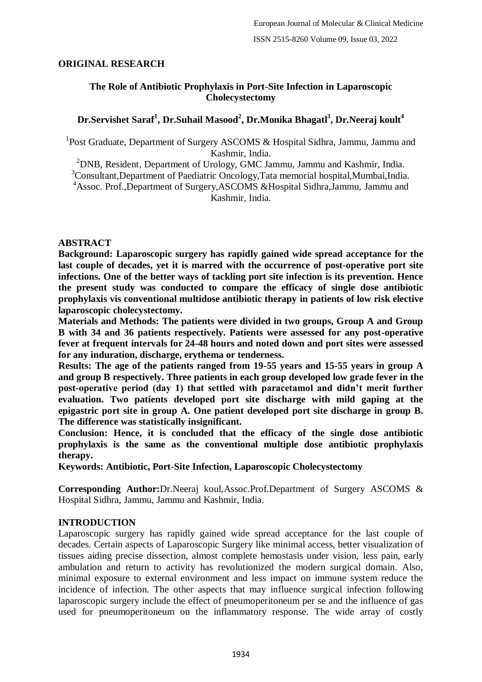### **ORIGINAL RESEARCH**

### **The Role of Antibiotic Prophylaxis in Port-Site Infection in Laparoscopic Cholecystectomy**

# $\mathbf{D}$ r.Servishet Saraf<sup>1</sup>, Dr.Suhail Masood<sup>2</sup>, Dr.Monika Bhagatl<sup>3</sup>, Dr.Neeraj koult<sup>4</sup>

<sup>1</sup>Post Graduate, Department of Surgery ASCOMS & Hospital Sidhra, Jammu, Jammu and Kashmir, India.

<sup>2</sup>DNB, Resident, Department of Urology, GMC Jammu, Jammu and Kashmir, India.

<sup>3</sup>Consultant,Department of Paediatric Oncology,Tata memorial hospital,Mumbai,India. <sup>4</sup>Assoc. Prof.,Department of Surgery,ASCOMS &Hospital Sidhra,Jammu, Jammu and Kashmir, India.

### **ABSTRACT**

**Background: Laparoscopic surgery has rapidly gained wide spread acceptance for the last couple of decades, yet it is marred with the occurrence of post-operative port site infections. One of the better ways of tackling port site infection is its prevention. Hence the present study was conducted to compare the efficacy of single dose antibiotic prophylaxis vis conventional multidose antibiotic therapy in patients of low risk elective laparoscopic cholecystectomy.**

**Materials and Methods: The patients were divided in two groups, Group A and Group B with 34 and 36 patients respectively. Patients were assessed for any post-operative fever at frequent intervals for 24-48 hours and noted down and port sites were assessed for any induration, discharge, erythema or tenderness.**

**Results: The age of the patients ranged from 19-55 years and 15-55 years in group A and group B respectively. Three patients in each group developed low grade fever in the post-operative period (day 1) that settled with paracetamol and didn't merit further evaluation. Two patients developed port site discharge with mild gaping at the epigastric port site in group A. One patient developed port site discharge in group B. The difference was statistically insignificant.**

**Conclusion: Hence, it is concluded that the efficacy of the single dose antibiotic prophylaxis is the same as the conventional multiple dose antibiotic prophylaxis therapy.**

**Keywords: Antibiotic, Port-Site Infection, Laparoscopic Cholecystectomy**

**Corresponding Author:**Dr.Neeraj koul,Assoc.Prof.Department of Surgery ASCOMS & Hospital Sidhra, Jammu, Jammu and Kashmir, India.

### **INTRODUCTION**

Laparoscopic surgery has rapidly gained wide spread acceptance for the last couple of decades. Certain aspects of Laparoscopic Surgery like minimal access, better visualization of tissues aiding precise dissection, almost complete hemostasis under vision, less pain, early ambulation and return to activity has revolutionized the modern surgical domain. Also, minimal exposure to external environment and less impact on immune system reduce the incidence of infection. The other aspects that may influence surgical infection following laparoscopic surgery include the effect of pneumoperitoneum per se and the influence of gas used for pneumoperitoneum on the inflammatory response. The wide array of costly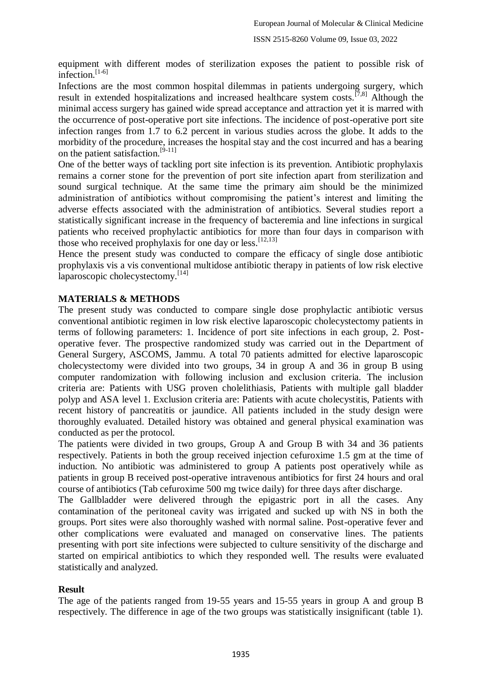equipment with different modes of sterilization exposes the patient to possible risk of infection. $[1-6]$ 

Infections are the most common hospital dilemmas in patients undergoing surgery, which result in extended hospitalizations and increased healthcare system costs.<sup>[7,8]</sup> Although the minimal access surgery has gained wide spread acceptance and attraction yet it is marred with the occurrence of post-operative port site infections. The incidence of post-operative port site infection ranges from 1.7 to 6.2 percent in various studies across the globe. It adds to the morbidity of the procedure, increases the hospital stay and the cost incurred and has a bearing on the patient satisfaction.[9-11]

One of the better ways of tackling port site infection is its prevention. Antibiotic prophylaxis remains a corner stone for the prevention of port site infection apart from sterilization and sound surgical technique. At the same time the primary aim should be the minimized administration of antibiotics without compromising the patient's interest and limiting the adverse effects associated with the administration of antibiotics. Several studies report a statistically significant increase in the frequency of bacteremia and line infections in surgical patients who received prophylactic antibiotics for more than four days in comparison with those who received prophylaxis for one day or less.  $[12,13]$ 

Hence the present study was conducted to compare the efficacy of single dose antibiotic prophylaxis vis a vis conventional multidose antibiotic therapy in patients of low risk elective laparoscopic cholecystectomy.[14]

### **MATERIALS & METHODS**

The present study was conducted to compare single dose prophylactic antibiotic versus conventional antibiotic regimen in low risk elective laparoscopic cholecystectomy patients in terms of following parameters: 1. Incidence of port site infections in each group, 2. Postoperative fever. The prospective randomized study was carried out in the Department of General Surgery, ASCOMS, Jammu. A total 70 patients admitted for elective laparoscopic cholecystectomy were divided into two groups, 34 in group A and 36 in group B using computer randomization with following inclusion and exclusion criteria. The inclusion criteria are: Patients with USG proven cholelithiasis, Patients with multiple gall bladder polyp and ASA level 1. Exclusion criteria are: Patients with acute cholecystitis, Patients with recent history of pancreatitis or jaundice. All patients included in the study design were thoroughly evaluated. Detailed history was obtained and general physical examination was conducted as per the protocol.

The patients were divided in two groups, Group A and Group B with 34 and 36 patients respectively. Patients in both the group received injection cefuroxime 1.5 gm at the time of induction. No antibiotic was administered to group A patients post operatively while as patients in group B received post-operative intravenous antibiotics for first 24 hours and oral course of antibiotics (Tab cefuroxime 500 mg twice daily) for three days after discharge.

The Gallbladder were delivered through the epigastric port in all the cases. Any contamination of the peritoneal cavity was irrigated and sucked up with NS in both the groups. Port sites were also thoroughly washed with normal saline. Post-operative fever and other complications were evaluated and managed on conservative lines. The patients presenting with port site infections were subjected to culture sensitivity of the discharge and started on empirical antibiotics to which they responded well. The results were evaluated statistically and analyzed.

### **Result**

The age of the patients ranged from 19-55 years and 15-55 years in group A and group B respectively. The difference in age of the two groups was statistically insignificant (table 1).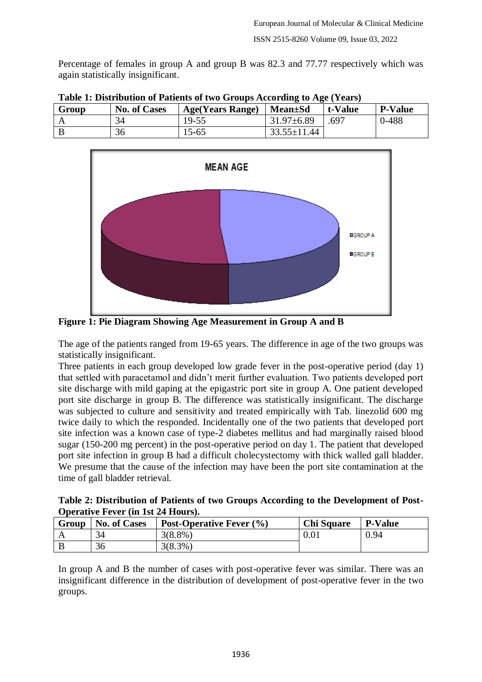Percentage of females in group A and group B was 82.3 and 77.77 respectively which was again statistically insignificant.

| Table 1: Distribution of Patients of two Groups According to Age (Years) |                     |                         |                   |         |         |
|--------------------------------------------------------------------------|---------------------|-------------------------|-------------------|---------|---------|
| Group                                                                    | <b>No. of Cases</b> | <b>Age(Years Range)</b> | Mean±Sd           | t-Value | P-Value |
|                                                                          | 34                  | 19-55                   | $31.97\pm 6.89$   | .697    | $0-488$ |
|                                                                          | 36                  | $15 - 65$               | $33.55 \pm 11.44$ |         |         |

**Trable of two Groups According to Age (Vector)** 



**Figure 1: Pie Diagram Showing Age Measurement in Group A and B**

The age of the patients ranged from 19-65 years. The difference in age of the two groups was statistically insignificant.

Three patients in each group developed low grade fever in the post-operative period (day 1) that settled with paracetamol and didn't merit further evaluation. Two patients developed port site discharge with mild gaping at the epigastric port site in group A. One patient developed port site discharge in group B. The difference was statistically insignificant. The discharge was subjected to culture and sensitivity and treated empirically with Tab. linezolid 600 mg twice daily to which the responded. Incidentally one of the two patients that developed port site infection was a known case of type-2 diabetes mellitus and had marginally raised blood sugar (150-200 mg percent) in the post-operative period on day 1. The patient that developed port site infection in group B had a difficult cholecystectomy with thick walled gall bladder. We presume that the cause of the infection may have been the port site contamination at the time of gall bladder retrieval.

| Table 2: Distribution of Patients of two Groups According to the Development of Post- |  |  |
|---------------------------------------------------------------------------------------|--|--|
| <b>Operative Fever (in 1st 24 Hours).</b>                                             |  |  |

| Group | <b>No. of Cases</b> | Post-Operative Fever $(\% )$ | <b>Chi Square</b> | <b>P-Value</b> |
|-------|---------------------|------------------------------|-------------------|----------------|
|       | 34                  | $3(8.8\%)$                   | 0.01              | 0.94           |
|       | 36                  | $3(8.3\%)$                   |                   |                |

In group A and B the number of cases with post-operative fever was similar. There was an insignificant difference in the distribution of development of post-operative fever in the two groups.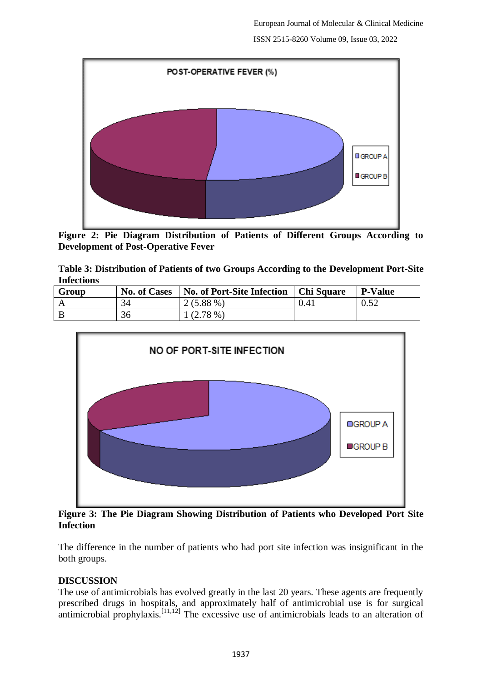

**Figure 2: Pie Diagram Distribution of Patients of Different Groups According to Development of Post-Operative Fever**

**Table 3: Distribution of Patients of two Groups According to the Development Port-Site Infections**

| Group | <b>No. of Cases</b> | <b>No. of Port-Site Infection</b> | <sup>1</sup> Chi Square | <b>P-Value</b> |
|-------|---------------------|-----------------------------------|-------------------------|----------------|
|       | 34                  | $2(5.88\%)$                       | 0.41                    | በ  ናን<br>V.JZ  |
|       | 36                  | $(2.78\%)$                        |                         |                |



**Figure 3: The Pie Diagram Showing Distribution of Patients who Developed Port Site Infection**

The difference in the number of patients who had port site infection was insignificant in the both groups.

### **DISCUSSION**

The use of antimicrobials has evolved greatly in the last 20 years. These agents are frequently prescribed drugs in hospitals, and approximately half of antimicrobial use is for surgical antimicrobial prophylaxis.<sup>[11,12]</sup> The excessive use of antimicrobials leads to an alteration of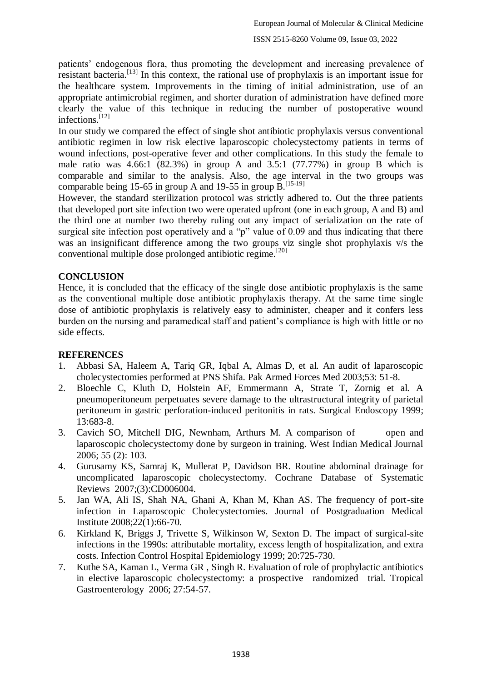patients' endogenous flora, thus promoting the development and increasing prevalence of resistant bacteria.[13] In this context, the rational use of prophylaxis is an important issue for the healthcare system. Improvements in the timing of initial administration, use of an appropriate antimicrobial regimen, and shorter duration of administration have defined more clearly the value of this technique in reducing the number of postoperative wound infections.[12]

In our study we compared the effect of single shot antibiotic prophylaxis versus conventional antibiotic regimen in low risk elective laparoscopic cholecystectomy patients in terms of wound infections, post-operative fever and other complications. In this study the female to male ratio was  $4.66:1$   $(82.3%)$  in group A and  $3.5:1$   $(77.77%)$  in group B which is comparable and similar to the analysis. Also, the age interval in the two groups was comparable being 15-65 in group A and 19-55 in group  $B$ .<sup>[15-19]</sup>

However, the standard sterilization protocol was strictly adhered to. Out the three patients that developed port site infection two were operated upfront (one in each group, A and B) and the third one at number two thereby ruling out any impact of serialization on the rate of surgical site infection post operatively and a "p" value of 0.09 and thus indicating that there was an insignificant difference among the two groups viz single shot prophylaxis v/s the conventional multiple dose prolonged antibiotic regime.[20]

## **CONCLUSION**

Hence, it is concluded that the efficacy of the single dose antibiotic prophylaxis is the same as the conventional multiple dose antibiotic prophylaxis therapy. At the same time single dose of antibiotic prophylaxis is relatively easy to administer, cheaper and it confers less burden on the nursing and paramedical staff and patient's compliance is high with little or no side effects.

### **REFERENCES**

- 1. Abbasi SA, Haleem A, Tariq GR, Iqbal A, Almas D, et al. An audit of laparoscopic cholecystectomies performed at PNS Shifa. Pak Armed Forces Med 2003;53: 51-8.
- 2. Bloechle C, Kluth D, Holstein AF, Emmermann A, Strate T, Zornig et al. A pneumoperitoneum perpetuates severe damage to the ultrastructural integrity of parietal peritoneum in gastric perforation-induced peritonitis in rats. Surgical Endoscopy 1999; 13:683-8.
- 3. Cavich SO, Mitchell DIG, Newnham, Arthurs M. A comparison of open and laparoscopic cholecystectomy done by surgeon in training. West Indian Medical Journal 2006; 55 (2): 103.
- 4. Gurusamy KS, Samraj K, Mullerat P, Davidson BR. Routine abdominal drainage for uncomplicated laparoscopic cholecystectomy. Cochrane Database of Systematic Reviews 2007;(3):CD006004.
- 5. Jan WA, Ali IS, Shah NA, Ghani A, Khan M, Khan AS. The frequency of port-site infection in Laparoscopic Cholecystectomies. Journal of Postgraduation Medical Institute 2008;22(1):66-70.
- 6. Kirkland K, Briggs J, Trivette S, Wilkinson W, Sexton D. The impact of surgical-site infections in the 1990s: attributable mortality, excess length of hospitalization, and extra costs. Infection Control Hospital Epidemiology 1999; 20:725-730.
- 7. Kuthe SA, Kaman L, Verma GR , Singh R. Evaluation of role of prophylactic antibiotics in elective laparoscopic cholecystectomy: a prospective randomized trial. Tropical Gastroenterology 2006; 27:54-57.